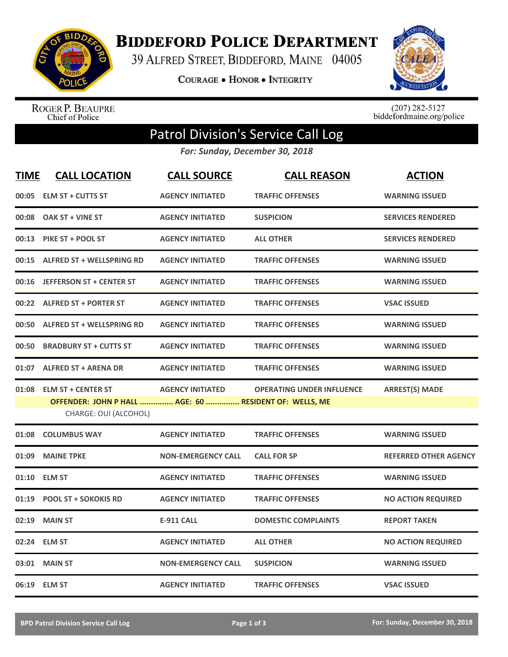

**BIDDEFORD POLICE DEPARTMENT** 

39 ALFRED STREET, BIDDEFORD, MAINE 04005

**COURAGE . HONOR . INTEGRITY** 



ROGER P. BEAUPRE<br>Chief of Police

 $(207)$  282-5127<br>biddefordmaine.org/police

## Patrol Division's Service Call Log

*For: Sunday, December 30, 2018*

| <b>TIME</b> | <b>CALL LOCATION</b>                                                                                         | <b>CALL SOURCE</b>        | <b>CALL REASON</b>               | <b>ACTION</b>                |
|-------------|--------------------------------------------------------------------------------------------------------------|---------------------------|----------------------------------|------------------------------|
| 00:05       | <b>ELM ST + CUTTS ST</b>                                                                                     | <b>AGENCY INITIATED</b>   | <b>TRAFFIC OFFENSES</b>          | <b>WARNING ISSUED</b>        |
| 00:08       | OAK ST + VINE ST                                                                                             | <b>AGENCY INITIATED</b>   | <b>SUSPICION</b>                 | <b>SERVICES RENDERED</b>     |
| 00:13       | PIKE ST + POOL ST                                                                                            | <b>AGENCY INITIATED</b>   | <b>ALL OTHER</b>                 | <b>SERVICES RENDERED</b>     |
| 00:15       | <b>ALFRED ST + WELLSPRING RD</b>                                                                             | <b>AGENCY INITIATED</b>   | <b>TRAFFIC OFFENSES</b>          | <b>WARNING ISSUED</b>        |
| 00:16       | <b>JEFFERSON ST + CENTER ST</b>                                                                              | <b>AGENCY INITIATED</b>   | <b>TRAFFIC OFFENSES</b>          | <b>WARNING ISSUED</b>        |
|             | 00:22 ALFRED ST + PORTER ST                                                                                  | <b>AGENCY INITIATED</b>   | <b>TRAFFIC OFFENSES</b>          | <b>VSAC ISSUED</b>           |
| 00:50       | <b>ALFRED ST + WELLSPRING RD</b>                                                                             | <b>AGENCY INITIATED</b>   | <b>TRAFFIC OFFENSES</b>          | <b>WARNING ISSUED</b>        |
| 00:50       | <b>BRADBURY ST + CUTTS ST</b>                                                                                | <b>AGENCY INITIATED</b>   | <b>TRAFFIC OFFENSES</b>          | <b>WARNING ISSUED</b>        |
| 01:07       | <b>ALFRED ST + ARENA DR</b>                                                                                  | <b>AGENCY INITIATED</b>   | <b>TRAFFIC OFFENSES</b>          | <b>WARNING ISSUED</b>        |
| 01:08       | <b>ELM ST + CENTER ST</b><br>OFFENDER: JOHN P HALL  AGE: 60  RESIDENT OF: WELLS, ME<br>CHARGE: OUI (ALCOHOL) | <b>AGENCY INITIATED</b>   | <b>OPERATING UNDER INFLUENCE</b> | <b>ARREST(S) MADE</b>        |
|             | 01:08 COLUMBUS WAY                                                                                           | <b>AGENCY INITIATED</b>   | <b>TRAFFIC OFFENSES</b>          | <b>WARNING ISSUED</b>        |
| 01:09       | <b>MAINE TPKE</b>                                                                                            | <b>NON-EMERGENCY CALL</b> | <b>CALL FOR SP</b>               | <b>REFERRED OTHER AGENCY</b> |
| 01:10       | <b>ELM ST</b>                                                                                                | <b>AGENCY INITIATED</b>   | <b>TRAFFIC OFFENSES</b>          | <b>WARNING ISSUED</b>        |
| 01:19       | <b>POOL ST + SOKOKIS RD</b>                                                                                  | <b>AGENCY INITIATED</b>   | <b>TRAFFIC OFFENSES</b>          | <b>NO ACTION REQUIRED</b>    |
| 02:19       | <b>MAIN ST</b>                                                                                               | <b>E-911 CALL</b>         | <b>DOMESTIC COMPLAINTS</b>       | <b>REPORT TAKEN</b>          |
| 02:24       | <b>ELM ST</b>                                                                                                | <b>AGENCY INITIATED</b>   | <b>ALL OTHER</b>                 | <b>NO ACTION REQUIRED</b>    |
| 03:01       | <b>MAIN ST</b>                                                                                               | <b>NON-EMERGENCY CALL</b> | <b>SUSPICION</b>                 | <b>WARNING ISSUED</b>        |
|             | 06:19 ELM ST                                                                                                 | <b>AGENCY INITIATED</b>   | <b>TRAFFIC OFFENSES</b>          | <b>VSAC ISSUED</b>           |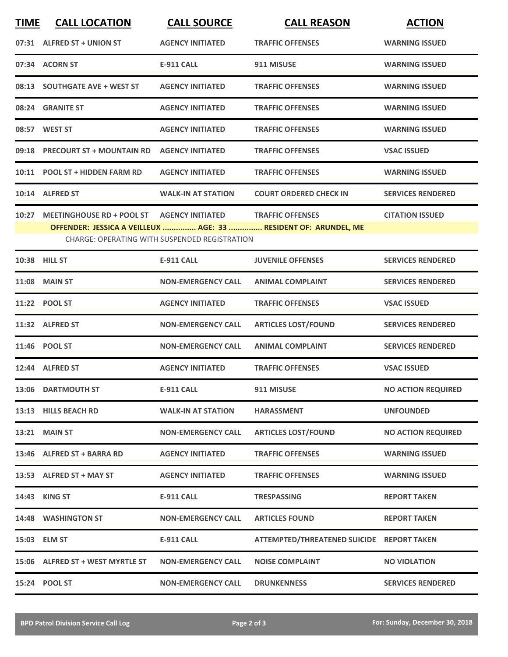| <b>TIME</b> | <b>CALL LOCATION</b>                                                                                             | <b>CALL SOURCE</b>        | <b>CALL REASON</b>                        | <b>ACTION</b>             |  |
|-------------|------------------------------------------------------------------------------------------------------------------|---------------------------|-------------------------------------------|---------------------------|--|
|             | 07:31 ALFRED ST + UNION ST                                                                                       | <b>AGENCY INITIATED</b>   | <b>TRAFFIC OFFENSES</b>                   | <b>WARNING ISSUED</b>     |  |
|             | 07:34 ACORN ST                                                                                                   | <b>E-911 CALL</b>         | 911 MISUSE                                | <b>WARNING ISSUED</b>     |  |
| 08:13       | <b>SOUTHGATE AVE + WEST ST</b>                                                                                   | <b>AGENCY INITIATED</b>   | <b>TRAFFIC OFFENSES</b>                   | <b>WARNING ISSUED</b>     |  |
|             | 08:24 GRANITE ST                                                                                                 | <b>AGENCY INITIATED</b>   | <b>TRAFFIC OFFENSES</b>                   | <b>WARNING ISSUED</b>     |  |
|             | 08:57 WEST ST                                                                                                    | <b>AGENCY INITIATED</b>   | <b>TRAFFIC OFFENSES</b>                   | <b>WARNING ISSUED</b>     |  |
|             | 09:18 PRECOURT ST + MOUNTAIN RD                                                                                  | <b>AGENCY INITIATED</b>   | <b>TRAFFIC OFFENSES</b>                   | <b>VSAC ISSUED</b>        |  |
|             | 10:11 POOL ST + HIDDEN FARM RD                                                                                   | <b>AGENCY INITIATED</b>   | <b>TRAFFIC OFFENSES</b>                   | <b>WARNING ISSUED</b>     |  |
|             | 10:14 ALFRED ST                                                                                                  | <b>WALK-IN AT STATION</b> | <b>COURT ORDERED CHECK IN</b>             | <b>SERVICES RENDERED</b>  |  |
| 10:27       | <b>MEETINGHOUSE RD + POOL ST</b>                                                                                 | <b>AGENCY INITIATED</b>   | <b>TRAFFIC OFFENSES</b>                   | <b>CITATION ISSUED</b>    |  |
|             | OFFENDER: JESSICA A VEILLEUX  AGE: 33  RESIDENT OF: ARUNDEL, ME<br>CHARGE: OPERATING WITH SUSPENDED REGISTRATION |                           |                                           |                           |  |
|             | 10:38 HILL ST                                                                                                    | <b>E-911 CALL</b>         | <b>JUVENILE OFFENSES</b>                  | <b>SERVICES RENDERED</b>  |  |
|             | <b>11:08 MAIN ST</b>                                                                                             | <b>NON-EMERGENCY CALL</b> | <b>ANIMAL COMPLAINT</b>                   | <b>SERVICES RENDERED</b>  |  |
|             | 11:22 POOL ST                                                                                                    | <b>AGENCY INITIATED</b>   | <b>TRAFFIC OFFENSES</b>                   | <b>VSAC ISSUED</b>        |  |
|             | 11:32 ALFRED ST                                                                                                  | <b>NON-EMERGENCY CALL</b> | <b>ARTICLES LOST/FOUND</b>                | <b>SERVICES RENDERED</b>  |  |
|             | 11:46 POOL ST                                                                                                    | <b>NON-EMERGENCY CALL</b> | <b>ANIMAL COMPLAINT</b>                   | <b>SERVICES RENDERED</b>  |  |
|             | 12:44 ALFRED ST                                                                                                  | <b>AGENCY INITIATED</b>   | <b>TRAFFIC OFFENSES</b>                   | <b>VSAC ISSUED</b>        |  |
|             | 13:06 DARTMOUTH ST                                                                                               | <b>E-911 CALL</b>         | 911 MISUSE                                | <b>NO ACTION REQUIRED</b> |  |
|             | 13:13 HILLS BEACH RD                                                                                             | <b>WALK-IN AT STATION</b> | <b>HARASSMENT</b>                         | <b>UNFOUNDED</b>          |  |
|             | <b>13:21 MAIN ST</b>                                                                                             | <b>NON-EMERGENCY CALL</b> | <b>ARTICLES LOST/FOUND</b>                | <b>NO ACTION REQUIRED</b> |  |
|             | 13:46 ALFRED ST + BARRA RD                                                                                       | <b>AGENCY INITIATED</b>   | <b>TRAFFIC OFFENSES</b>                   | <b>WARNING ISSUED</b>     |  |
|             | 13:53 ALFRED ST + MAY ST                                                                                         | <b>AGENCY INITIATED</b>   | <b>TRAFFIC OFFENSES</b>                   | <b>WARNING ISSUED</b>     |  |
|             | 14:43 KING ST                                                                                                    | <b>E-911 CALL</b>         | <b>TRESPASSING</b>                        | <b>REPORT TAKEN</b>       |  |
|             | 14:48 WASHINGTON ST                                                                                              | <b>NON-EMERGENCY CALL</b> | <b>ARTICLES FOUND</b>                     | <b>REPORT TAKEN</b>       |  |
|             | 15:03 ELM ST                                                                                                     | E-911 CALL                | ATTEMPTED/THREATENED SUICIDE REPORT TAKEN |                           |  |
|             | 15:06 ALFRED ST + WEST MYRTLE ST                                                                                 | <b>NON-EMERGENCY CALL</b> | <b>NOISE COMPLAINT</b>                    | <b>NO VIOLATION</b>       |  |
|             | 15:24 POOL ST                                                                                                    | <b>NON-EMERGENCY CALL</b> | <b>DRUNKENNESS</b>                        | <b>SERVICES RENDERED</b>  |  |